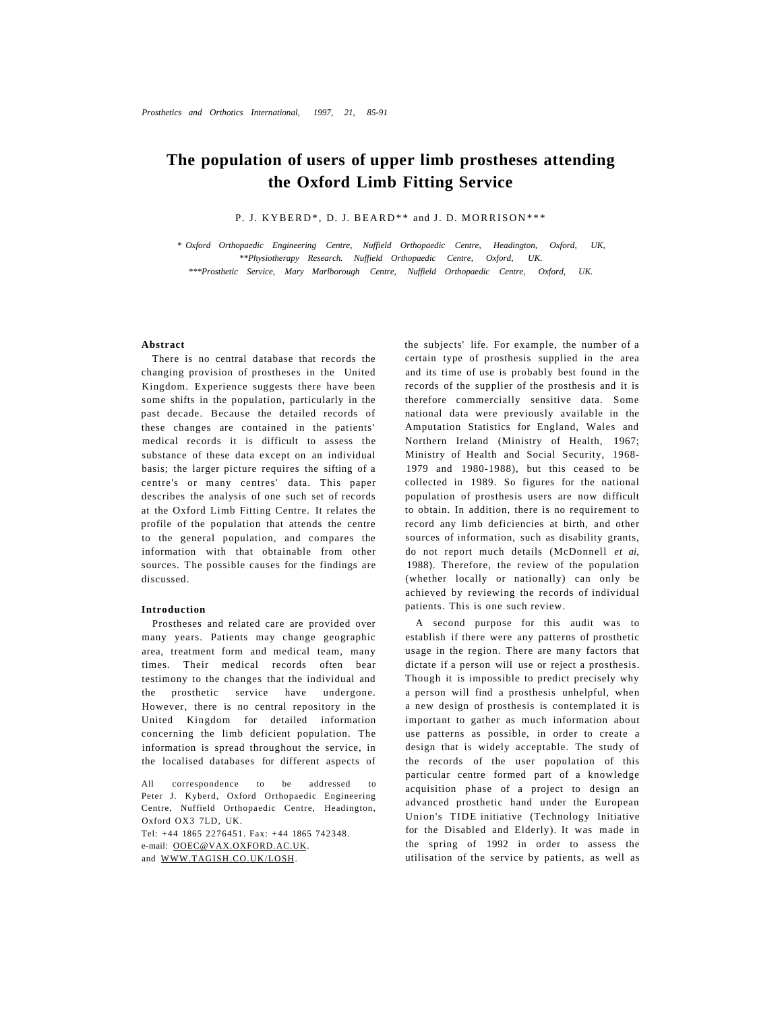# **The population of users of upper limb prostheses attending the Oxford Limb Fitting Service**

P. J. KYBERD\*, D. J. BEARD\*\* and J. D. MORRISON\*\*\*

*\* Oxford Orthopaedic Engineering Centre, Nuffield Orthopaedic Centre, Headington, Oxford, UK, \*\*Physiotherapy Research. Nuffield Orthopaedic Centre, Oxford, UK. \*\*\*Prosthetic Service, Mary Marlborough Centre, Nuffield Orthopaedic Centre, Oxford, UK.* 

# **Abstract**

There is no central database that records the changing provision of prostheses in the United Kingdom. Experience suggests there have been some shifts in the population, particularly in the past decade. Because the detailed records of these changes are contained in the patients' medical records it is difficult to assess the substance of these data except on an individual basis; the larger picture requires the sifting of a centre's or many centres' data. This paper describes the analysis of one such set of records at the Oxford Limb Fitting Centre. It relates the profile of the population that attends the centre to the general population, and compares the information with that obtainable from other sources. The possible causes for the findings are discussed.

# **Introduction**

Prostheses and related care are provided over many years. Patients may change geographic area, treatment form and medical team, many times. Their medical records often bear testimony to the changes that the individual and the prosthetic service have undergone. However, there is no central repository in the United Kingdom for detailed information concerning the limb deficient population. The information is spread throughout the service, in the localised databases for different aspects of

All correspondence to be addressed to Peter J. Kyberd, Oxford Orthopaedic Engineering Centre, Nuffield Orthopaedic Centre, Headington, Oxford OX3 7LD, UK. Tel: +44 1865 2276451. Fax: +44 1865 742348. e-mail: [OOEC@VAX.OXFORD.AC.UK.](mailto:OOEC@VAX.OXFORD.AC.UK) and [WWW.TAGISH.CO.UK/LOSH.](http://WWW.TAGISH.CO.UK/LOSH)

the subjects' life. For example, the number of a certain type of prosthesis supplied in the area and its time of use is probably best found in the records of the supplier of the prosthesis and it is therefore commercially sensitive data. Some national data were previously available in the Amputation Statistics for England, Wales and Northern Ireland (Ministry of Health, 1967; Ministry of Health and Social Security, 1968- 1979 and 1980-1988), but this ceased to be collected in 1989. So figures for the national population of prosthesis users are now difficult to obtain. In addition, there is no requirement to record any limb deficiencies at birth, and other sources of information, such as disability grants, do not report much details (McDonnell *et ai,*  1988). Therefore, the review of the population (whether locally or nationally) can only be achieved by reviewing the records of individual patients. This is one such review.

A second purpose for this audit was to establish if there were any patterns of prosthetic usage in the region. There are many factors that dictate if a person will use or reject a prosthesis. Though it is impossible to predict precisely why a person will find a prosthesis unhelpful, when a new design of prosthesis is contemplated it is important to gather as much information about use patterns as possible, in order to create a design that is widely acceptable. The study of the records of the user population of this particular centre formed part of a knowledge acquisition phase of a project to design an advanced prosthetic hand under the European Union's TIDE initiative (Technology Initiative for the Disabled and Elderly). It was made in the spring of 1992 in order to assess the utilisation of the service by patients, as well as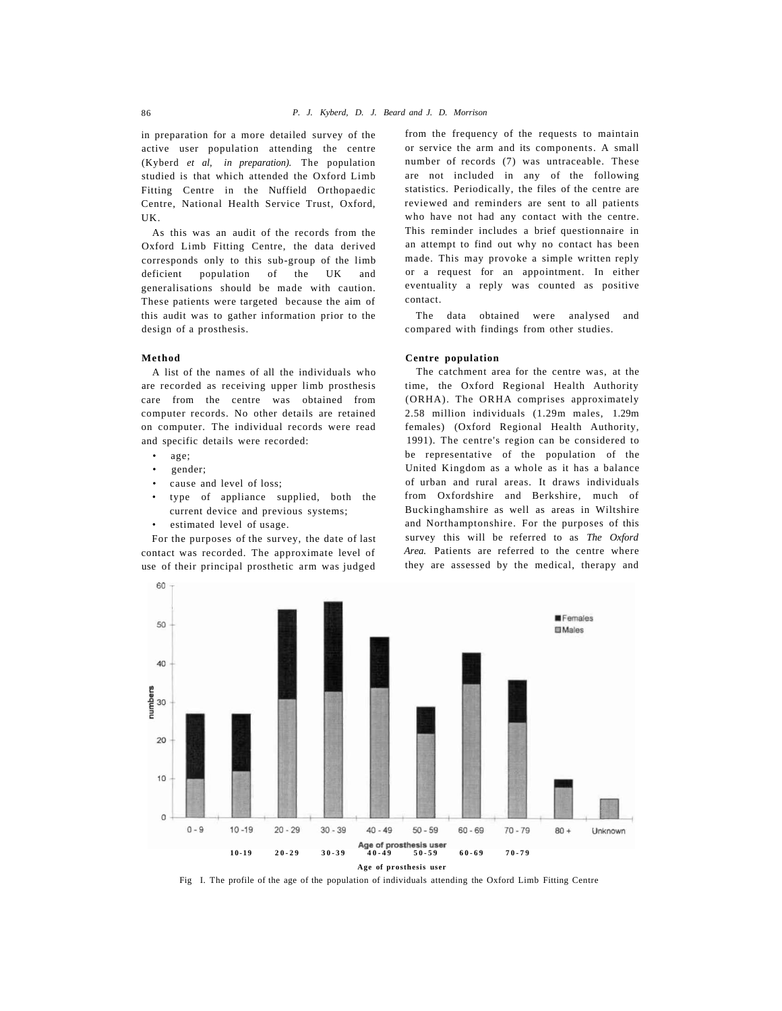in preparation for a more detailed survey of the active user population attending the centre (Kyberd *et al, in preparation).* The population studied is that which attended the Oxford Limb Fitting Centre in the Nuffield Orthopaedic Centre, National Health Service Trust, Oxford, UK.

As this was an audit of the records from the Oxford Limb Fitting Centre, the data derived corresponds only to this sub-group of the limb deficient population of the UK and generalisations should be made with caution. These patients were targeted because the aim of this audit was to gather information prior to the design of a prosthesis.

# **Method**

A list of the names of all the individuals who are recorded as receiving upper limb prosthesis care from the centre was obtained from computer records. No other details are retained on computer. The individual records were read and specific details were recorded:

- age;
- gender;
- cause and level of loss;
- type of appliance supplied, both the current device and previous systems;
- estimated level of usage.

For the purposes of the survey, the date of last contact was recorded. The approximate level of use of their principal prosthetic arm was judged

from the frequency of the requests to maintain or service the arm and its components. A small number of records (7) was untraceable. These are not included in any of the following statistics. Periodically, the files of the centre are reviewed and reminders are sent to all patients who have not had any contact with the centre. This reminder includes a brief questionnaire in an attempt to find out why no contact has been made. This may provoke a simple written reply or a request for an appointment. In either eventuality a reply was counted as positive contact.

The data obtained were analysed and compared with findings from other studies.

### **Centre population**

The catchment area for the centre was, at the time, the Oxford Regional Health Authority (ORHA). The ORHA comprises approximately 2.58 million individuals (1.29m males, 1.29m females) (Oxford Regional Health Authority, 1991). The centre's region can be considered to be representative of the population of the United Kingdom as a whole as it has a balance of urban and rural areas. It draws individuals from Oxfordshire and Berkshire, much of Buckinghamshire as well as areas in Wiltshire and Northamptonshire. For the purposes of this survey this will be referred to as *The Oxford Area.* Patients are referred to the centre where they are assessed by the medical, therapy and



Fig I. The profile of the age of the population of individuals attending the Oxford Limb Fitting Centre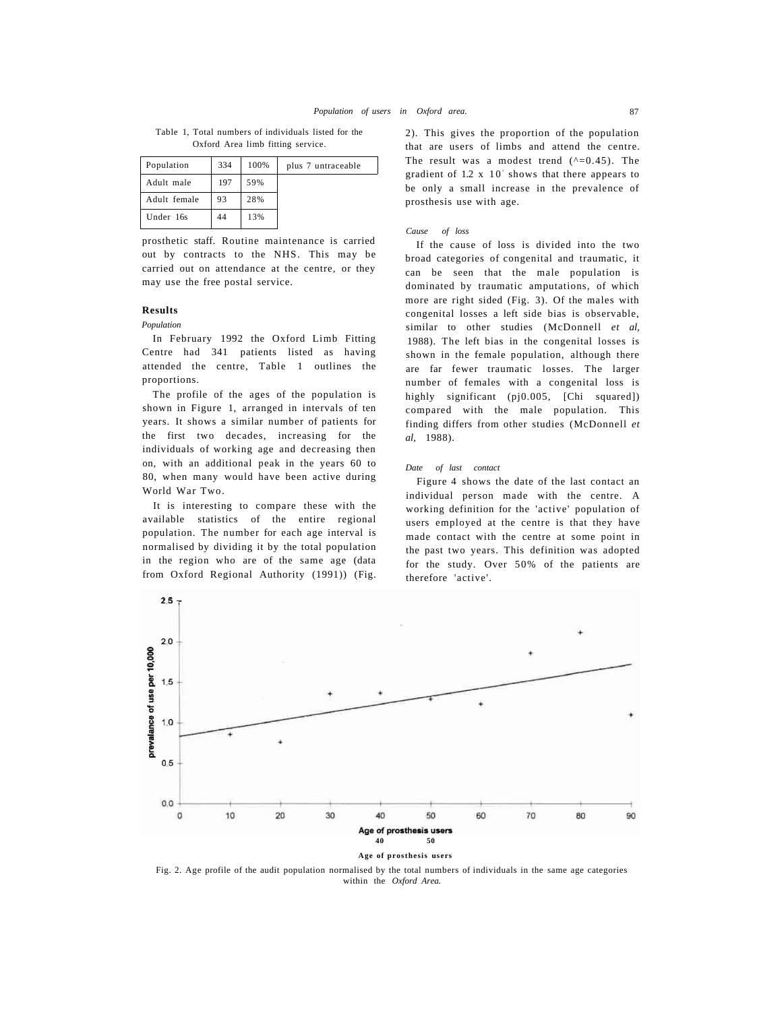Table 1, Total numbers of individuals listed for the Oxford Area limb fitting service.

| Population   | 334 | 100% | plus 7 untraceable |
|--------------|-----|------|--------------------|
| Adult male   | 197 | 59%  |                    |
| Adult female | 93  | 28%  |                    |
| Under 16s    | 44  | 13%  |                    |

prosthetic staff. Routine maintenance is carried out by contracts to the NHS. This may be carried out on attendance at the centre, or they may use the free postal service.

# **Results**

*Population* 

In February 1992 the Oxford Limb Fitting Centre had 341 patients listed as having attended the centre, Table 1 outlines the proportions.

The profile of the ages of the population is shown in Figure 1, arranged in intervals of ten years. It shows a similar number of patients for the first two decades, increasing for the individuals of working age and decreasing then on, with an additional peak in the years 60 to 80, when many would have been active during World War Two.

It is interesting to compare these with the available statistics of the entire regional population. The number for each age interval is normalised by dividing it by the total population in the region who are of the same age (data from Oxford Regional Authority (1991)) (Fig.

2). This gives the proportion of the population that are users of limbs and attend the centre. The result was a modest trend  $(^{6}-0.45)$ . The gradient of  $1.2 \times 10^7$  shows that there appears to be only a small increase in the prevalence of prosthesis use with age.

### *Cause of loss*

If the cause of loss is divided into the two broad categories of congenital and traumatic, it can be seen that the male population is dominated by traumatic amputations, of which more are right sided (Fig. 3). Of the males with congenital losses a left side bias is observable, similar to other studies (McDonnell *et al,*  1988). The left bias in the congenital losses is shown in the female population, although there are far fewer traumatic losses. The larger number of females with a congenital loss is highly significant (pj0.005, [Chi squared]) compared with the male population. This finding differs from other studies (McDonnell *et al,* 1988).

#### *Date of last contact*

Figure 4 shows the date of the last contact an individual person made with the centre. A working definition for the 'active' population of users employed at the centre is that they have made contact with the centre at some point in the past two years. This definition was adopted for the study. Over 50% of the patients are therefore 'active'.



Fig. 2. Age profile of the audit population normalised by the total numbers of individuals in the same age categories within the *Oxford Area.*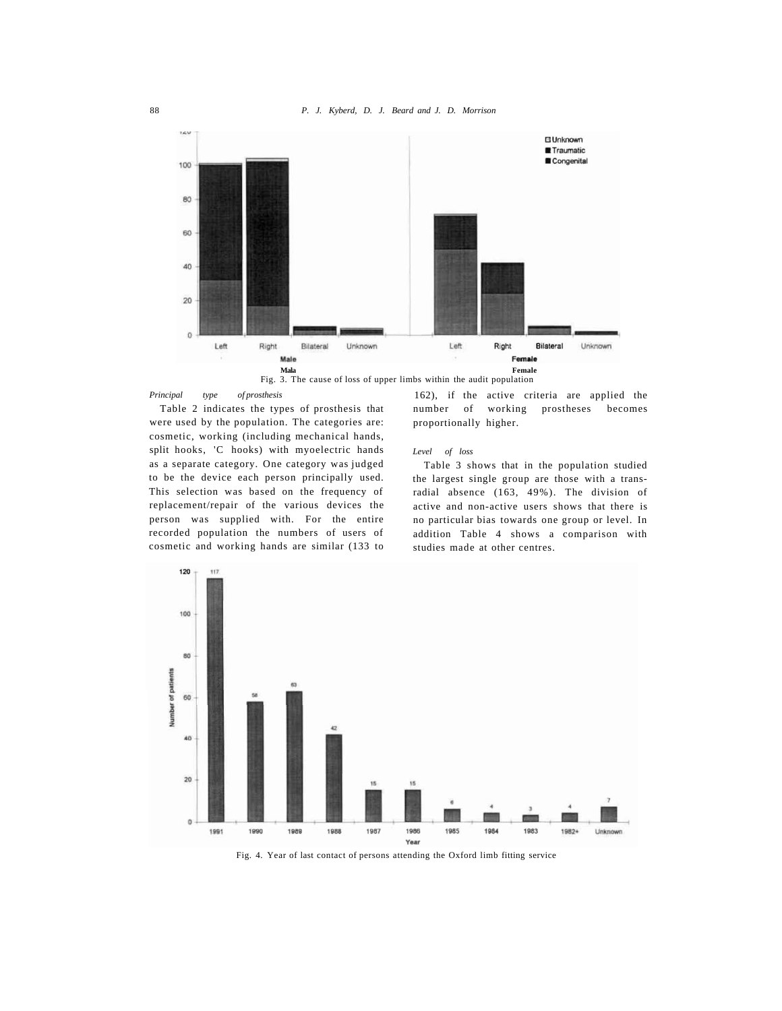

*Principal type of prosthesis* 

Table 2 indicates the types of prosthesis that were used by the population. The categories are: cosmetic, working (including mechanical hands, split hooks, 'C hooks) with myoelectric hands as a separate category. One category was judged to be the device each person principally used. This selection was based on the frequency of replacement/repair of the various devices the person was supplied with. For the entire recorded population the numbers of users of cosmetic and working hands are similar (133 to

# *Level of loss*

proportionally higher.

Table 3 shows that in the population studied the largest single group are those with a transradial absence (163, 49%). The division of active and non-active users shows that there is no particular bias towards one group or level. In addition Table 4 shows a comparison with studies made at other centres.

number of working prostheses becomes



Fig. 4. Year of last contact of persons attending the Oxford limb fitting service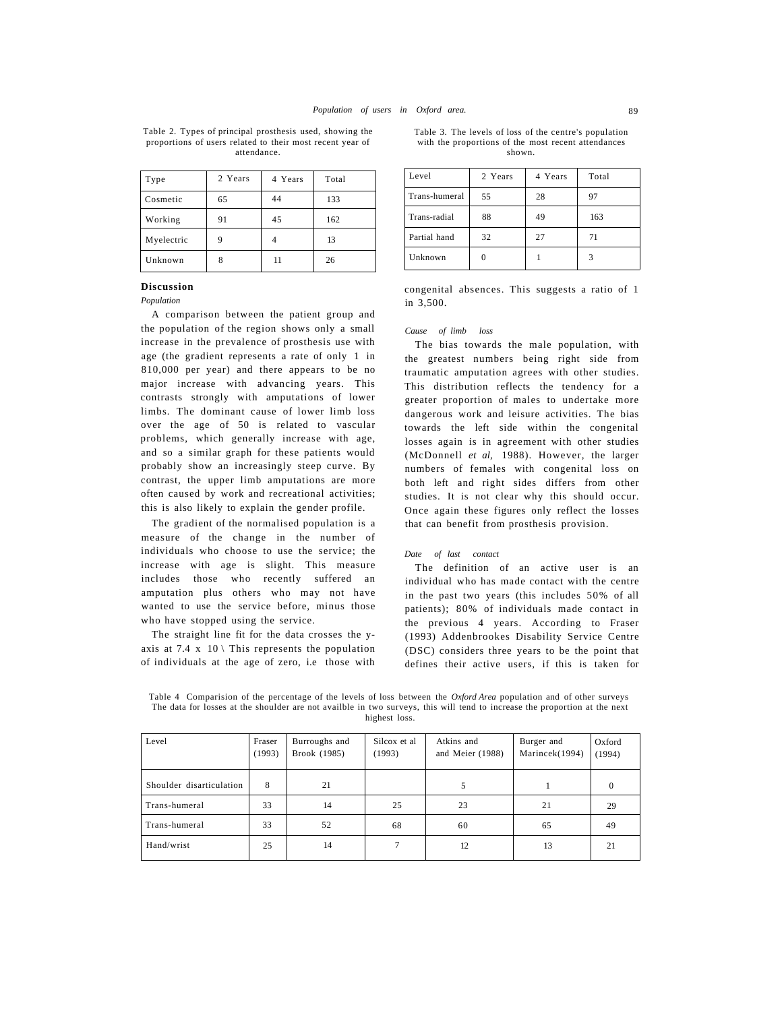Table 2. Types of principal prosthesis used, showing the proportions of users related to their most recent year of attendance.

| Type       | 2 Years | 4 Years | Total |
|------------|---------|---------|-------|
| Cosmetic   | 65      | 44      | 133   |
| Working    | 91      | 45      | 162   |
| Myelectric | 9       |         | 13    |
| Unknown    | 8       | 11      | 26    |

Table 3. The levels of loss of the centre's population with the proportions of the most recent attendances shown.

| Level         | 2 Years | 4 Years | Total |
|---------------|---------|---------|-------|
| Trans-humeral | 55      | 28      | 97    |
| Trans-radial  | 88      | 49      | 163   |
| Partial hand  | 32      | 27      | 71    |
| Unknown       |         |         |       |

**Discussion** 

*Population* 

A comparison between the patient group and the population of the region shows only a small increase in the prevalence of prosthesis use with age (the gradient represents a rate of only 1 in 810,000 per year) and there appears to be no major increase with advancing years. This contrasts strongly with amputations of lower limbs. The dominant cause of lower limb loss over the age of 50 is related to vascular problems, which generally increase with age, and so a similar graph for these patients would probably show an increasingly steep curve. By contrast, the upper limb amputations are more often caused by work and recreational activities; this is also likely to explain the gender profile.

The gradient of the normalised population is a measure of the change in the number of individuals who choose to use the service; the increase with age is slight. This measure includes those who recently suffered an amputation plus others who may not have wanted to use the service before, minus those who have stopped using the service.

The straight line fit for the data crosses the yaxis at 7.4  $x$  10 \ This represents the population of individuals at the age of zero, i.e those with

congenital absences. This suggests a ratio of 1 in 3,500.

#### *Cause of limb loss*

The bias towards the male population, with the greatest numbers being right side from traumatic amputation agrees with other studies. This distribution reflects the tendency for a greater proportion of males to undertake more dangerous work and leisure activities. The bias towards the left side within the congenital losses again is in agreement with other studies (McDonnell *et al,* 1988). However, the larger numbers of females with congenital loss on both left and right sides differs from other studies. It is not clear why this should occur. Once again these figures only reflect the losses that can benefit from prosthesis provision.

#### *Date of last contact*

The definition of an active user is an individual who has made contact with the centre in the past two years (this includes 50% of all patients); 80% of individuals made contact in the previous 4 years. According to Fraser (1993) Addenbrookes Disability Service Centre (DSC) considers three years to be the point that defines their active users, if this is taken for

Table 4 Comparision of the percentage of the levels of loss between the *Oxford Area* population and of other surveys The data for losses at the shoulder are not availble in two surveys, this will tend to increase the proportion at the next highest loss.

| Level                    | Fraser<br>(1993) | Burroughs and<br>Brook (1985) | Silcox et al<br>(1993) | Atkins and<br>and Meier (1988) | Burger and<br>Marincek(1994) | Oxford<br>(1994) |
|--------------------------|------------------|-------------------------------|------------------------|--------------------------------|------------------------------|------------------|
| Shoulder disarticulation | 8                | 21                            |                        | 5                              |                              | $\Omega$         |
| Trans-humeral            | 33               | 14                            | 25                     | 23                             | 21                           | 29               |
| Trans-humeral            | 33               | 52                            | 68                     | 60                             | 65                           | 49               |
| Hand/wrist               | 25               | 14                            | 7                      | 12                             | 13                           | 21               |
|                          |                  |                               |                        |                                |                              |                  |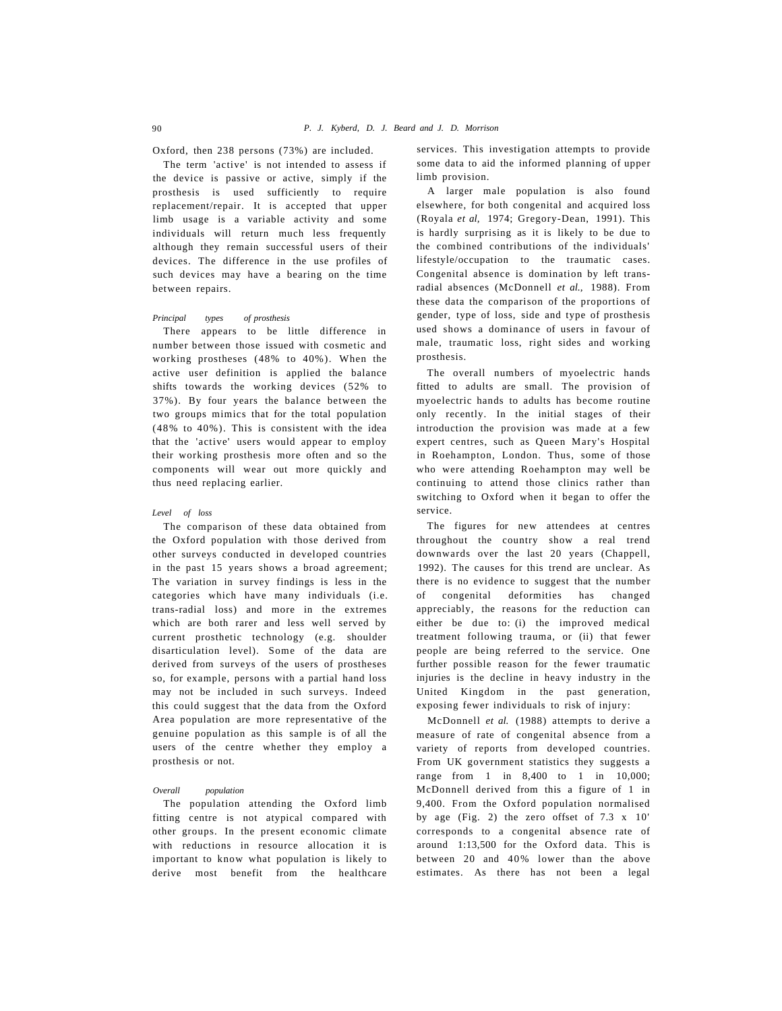Oxford, then 238 persons (73%) are included.

The term 'active' is not intended to assess if the device is passive or active, simply if the prosthesis is used sufficiently to require replacement/repair. It is accepted that upper limb usage is a variable activity and some individuals will return much less frequently although they remain successful users of their devices. The difference in the use profiles of such devices may have a bearing on the time between repairs.

#### *Principal types of prosthesis*

There appears to be little difference in number between those issued with cosmetic and working prostheses (48% to 40%). When the active user definition is applied the balance shifts towards the working devices (52% to 37%). By four years the balance between the two groups mimics that for the total population (48% to 40%). This is consistent with the idea that the 'active' users would appear to employ their working prosthesis more often and so the components will wear out more quickly and thus need replacing earlier.

#### *Level of loss*

The comparison of these data obtained from the Oxford population with those derived from other surveys conducted in developed countries in the past 15 years shows a broad agreement; The variation in survey findings is less in the categories which have many individuals (i.e. trans-radial loss) and more in the extremes which are both rarer and less well served by current prosthetic technology (e.g. shoulder disarticulation level). Some of the data are derived from surveys of the users of prostheses so, for example, persons with a partial hand loss may not be included in such surveys. Indeed this could suggest that the data from the Oxford Area population are more representative of the genuine population as this sample is of all the users of the centre whether they employ a prosthesis or not.

#### *Overall population*

The population attending the Oxford limb fitting centre is not atypical compared with other groups. In the present economic climate with reductions in resource allocation it is important to know what population is likely to derive most benefit from the healthcare services. This investigation attempts to provide some data to aid the informed planning of upper limb provision.

A larger male population is also found elsewhere, for both congenital and acquired loss (Royala *et al,* 1974; Gregory-Dean, 1991). This is hardly surprising as it is likely to be due to the combined contributions of the individuals' lifestyle/occupation to the traumatic cases. Congenital absence is domination by left transradial absences (McDonnell *et al.,* 1988). From these data the comparison of the proportions of gender, type of loss, side and type of prosthesis used shows a dominance of users in favour of male, traumatic loss, right sides and working prosthesis.

The overall numbers of myoelectric hands fitted to adults are small. The provision of myoelectric hands to adults has become routine only recently. In the initial stages of their introduction the provision was made at a few expert centres, such as Queen Mary's Hospital in Roehampton, London. Thus, some of those who were attending Roehampton may well be continuing to attend those clinics rather than switching to Oxford when it began to offer the service.

The figures for new attendees at centres throughout the country show a real trend downwards over the last 20 years (Chappell, 1992). The causes for this trend are unclear. As there is no evidence to suggest that the number of congenital deformities has changed appreciably, the reasons for the reduction can either be due to: (i) the improved medical treatment following trauma, or (ii) that fewer people are being referred to the service. One further possible reason for the fewer traumatic injuries is the decline in heavy industry in the United Kingdom in the past generation, exposing fewer individuals to risk of injury:

McDonnell *et al.* (1988) attempts to derive a measure of rate of congenital absence from a variety of reports from developed countries. From UK government statistics they suggests a range from 1 in 8,400 to 1 in 10,000; McDonnell derived from this a figure of 1 in 9,400. From the Oxford population normalised by age (Fig. 2) the zero offset of 7.3 x 10' corresponds to a congenital absence rate of around 1:13,500 for the Oxford data. This is between 20 and 40% lower than the above estimates. As there has not been a legal